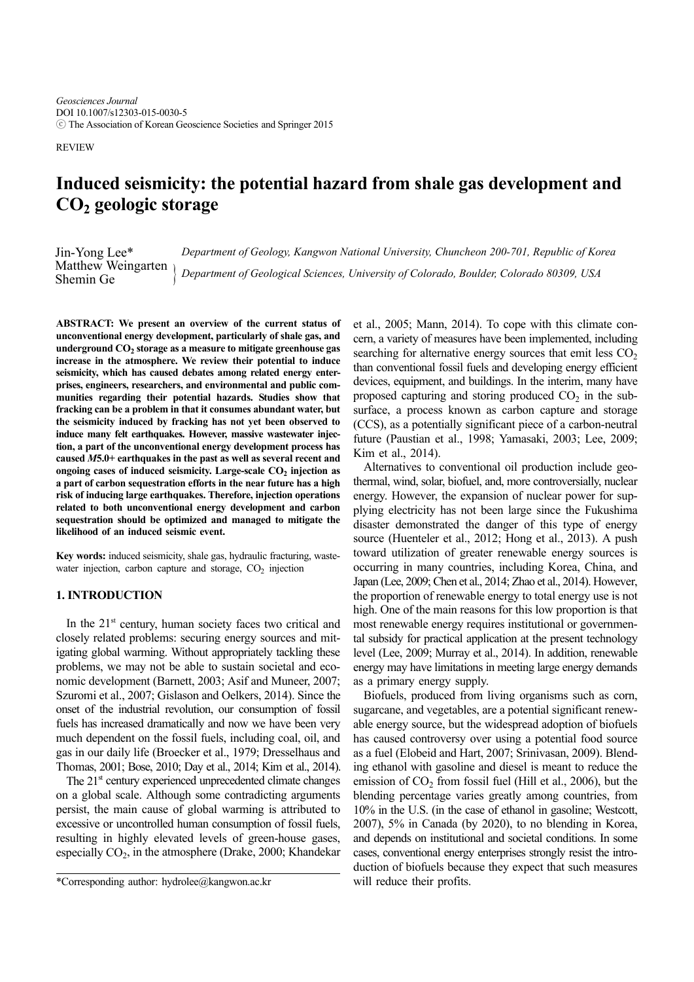REVIEW

# **Induced seismicity: the potential hazard from shale gas development and CO2 geologic storage**

Jin-Yong Lee\* Matthew Weingarten Shemin Ge *Department of Geology, Kangwon National University, Chuncheon 200-701, Republic of Korea Department of Geological Sciences, University of Colorado, Boulder, Colorado 80309, USA*

**ABSTRACT: We present an overview of the current status of unconventional energy development, particularly of shale gas, and underground CO2 storage as a measure to mitigate greenhouse gas increase in the atmosphere. We review their potential to induce seismicity, which has caused debates among related energy enterprises, engineers, researchers, and environmental and public communities regarding their potential hazards. Studies show that fracking can be a problem in that it consumes abundant water, but the seismicity induced by fracking has not yet been observed to induce many felt earthquakes. However, massive wastewater injection, a part of the unconventional energy development process has caused** *M***5.0+ earthquakes in the past as well as several recent and ongoing cases of induced seismicity. Large-scale CO<sub>2</sub> injection as a part of carbon sequestration efforts in the near future has a high risk of inducing large earthquakes. Therefore, injection operations related to both unconventional energy development and carbon sequestration should be optimized and managed to mitigate the likelihood of an induced seismic event.** 

**Key words:** induced seismicity, shale gas, hydraulic fracturing, wastewater injection, carbon capture and storage,  $CO<sub>2</sub>$  injection

### **1. INTRODUCTION**

In the 21<sup>st</sup> century, human society faces two critical and closely related problems: securing energy sources and mitigating global warming. Without appropriately tackling these problems, we may not be able to sustain societal and economic development (Barnett, 2003; Asif and Muneer, 2007; Szuromi et al., 2007; Gislason and Oelkers, 2014). Since the onset of the industrial revolution, our consumption of fossil fuels has increased dramatically and now we have been very much dependent on the fossil fuels, including coal, oil, and gas in our daily life (Broecker et al., 1979; Dresselhaus and Thomas, 2001; Bose, 2010; Day et al., 2014; Kim et al., 2014).

The 21<sup>st</sup> century experienced unprecedented climate changes on a global scale. Although some contradicting arguments persist, the main cause of global warming is attributed to excessive or uncontrolled human consumption of fossil fuels, resulting in highly elevated levels of green-house gases, especially  $CO<sub>2</sub>$ , in the atmosphere (Drake, 2000; Khandekar et al., 2005; Mann, 2014). To cope with this climate concern, a variety of measures have been implemented, including searching for alternative energy sources that emit less  $CO<sub>2</sub>$ than conventional fossil fuels and developing energy efficient devices, equipment, and buildings. In the interim, many have proposed capturing and storing produced  $CO<sub>2</sub>$  in the subsurface, a process known as carbon capture and storage (CCS), as a potentially significant piece of a carbon-neutral future (Paustian et al., 1998; Yamasaki, 2003; Lee, 2009; Kim et al., 2014).

Alternatives to conventional oil production include geothermal, wind, solar, biofuel, and, more controversially, nuclear energy. However, the expansion of nuclear power for supplying electricity has not been large since the Fukushima disaster demonstrated the danger of this type of energy source (Huenteler et al., 2012; Hong et al., 2013). A push toward utilization of greater renewable energy sources is occurring in many countries, including Korea, China, and Japan (Lee, 2009; Chen et al., 2014; Zhao et al., 2014). However, the proportion of renewable energy to total energy use is not high. One of the main reasons for this low proportion is that most renewable energy requires institutional or governmental subsidy for practical application at the present technology level (Lee, 2009; Murray et al., 2014). In addition, renewable energy may have limitations in meeting large energy demands as a primary energy supply.

Biofuels, produced from living organisms such as corn, sugarcane, and vegetables, are a potential significant renewable energy source, but the widespread adoption of biofuels has caused controversy over using a potential food source as a fuel (Elobeid and Hart, 2007; Srinivasan, 2009). Blending ethanol with gasoline and diesel is meant to reduce the emission of  $CO<sub>2</sub>$  from fossil fuel (Hill et al., 2006), but the blending percentage varies greatly among countries, from 10% in the U.S. (in the case of ethanol in gasoline; Westcott, 2007), 5% in Canada (by 2020), to no blending in Korea, and depends on institutional and societal conditions. In some cases, conventional energy enterprises strongly resist the introduction of biofuels because they expect that such measures will reduce their profits.

<sup>\*</sup>Corresponding author: hydrolee@kangwon.ac.kr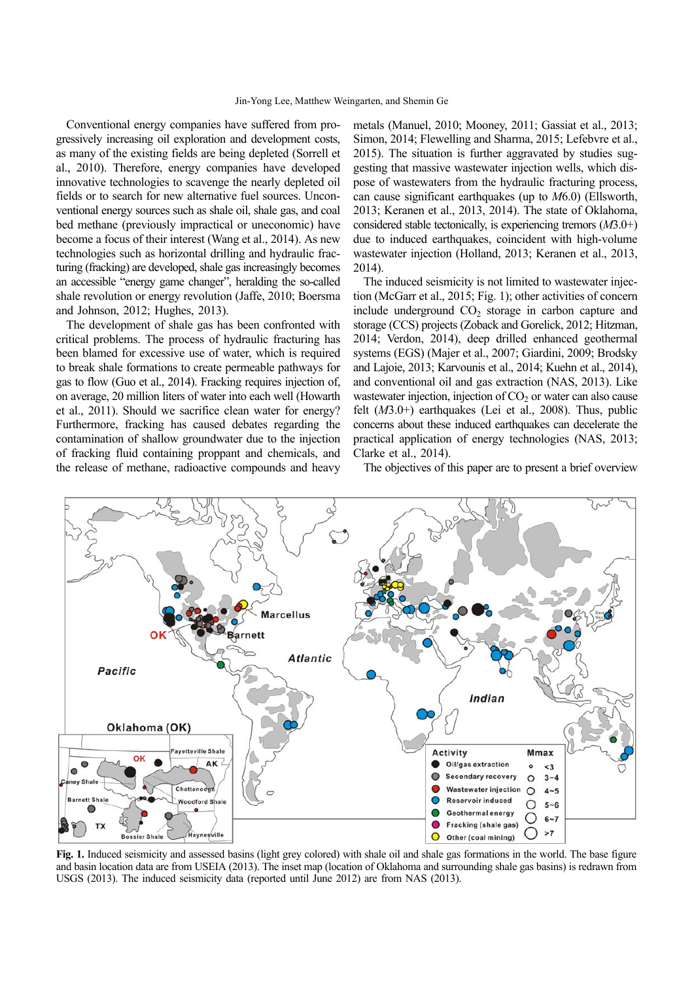Conventional energy companies have suffered from progressively increasing oil exploration and development costs, as many of the existing fields are being depleted (Sorrell et al., 2010). Therefore, energy companies have developed innovative technologies to scavenge the nearly depleted oil fields or to search for new alternative fuel sources. Unconventional energy sources such as shale oil, shale gas, and coal bed methane (previously impractical or uneconomic) have become a focus of their interest (Wang et al., 2014). As new technologies such as horizontal drilling and hydraulic fracturing (fracking) are developed, shale gas increasingly becomes an accessible "energy game changer", heralding the so-called shale revolution or energy revolution (Jaffe, 2010; Boersma and Johnson, 2012; Hughes, 2013).

The development of shale gas has been confronted with critical problems. The process of hydraulic fracturing has been blamed for excessive use of water, which is required to break shale formations to create permeable pathways for gas to flow (Guo et al., 2014). Fracking requires injection of, on average, 20 million liters of water into each well (Howarth et al., 2011). Should we sacrifice clean water for energy? Furthermore, fracking has caused debates regarding the contamination of shallow groundwater due to the injection of fracking fluid containing proppant and chemicals, and the release of methane, radioactive compounds and heavy

metals (Manuel, 2010; Mooney, 2011; Gassiat et al., 2013; Simon, 2014; Flewelling and Sharma, 2015; Lefebvre et al., 2015). The situation is further aggravated by studies suggesting that massive wastewater injection wells, which dispose of wastewaters from the hydraulic fracturing process, can cause significant earthquakes (up to *M*6.0) (Ellsworth, 2013; Keranen et al., 2013, 2014). The state of Oklahoma, considered stable tectonically, is experiencing tremors (*M*3.0+) due to induced earthquakes, coincident with high-volume wastewater injection (Holland, 2013; Keranen et al., 2013, 2014).

The induced seismicity is not limited to wastewater injection (McGarr et al., 2015; Fig. 1); other activities of concern include underground  $CO<sub>2</sub>$  storage in carbon capture and storage (CCS) projects (Zoback and Gorelick, 2012; Hitzman, 2014; Verdon, 2014), deep drilled enhanced geothermal systems (EGS) (Majer et al., 2007; Giardini, 2009; Brodsky and Lajoie, 2013; Karvounis et al., 2014; Kuehn et al., 2014), and conventional oil and gas extraction (NAS, 2013). Like wastewater injection, injection of  $CO<sub>2</sub>$  or water can also cause felt (*M*3.0+) earthquakes (Lei et al., 2008). Thus, public concerns about these induced earthquakes can decelerate the practical application of energy technologies (NAS, 2013; Clarke et al., 2014).

The objectives of this paper are to present a brief overview



**Fig. 1.** Induced seismicity and assessed basins (light grey colored) with shale oil and shale gas formations in the world. The base figure and basin location data are from USEIA (2013). The inset map (location of Oklahoma and surrounding shale gas basins) is redrawn from USGS (2013). The induced seismicity data (reported until June 2012) are from NAS (2013).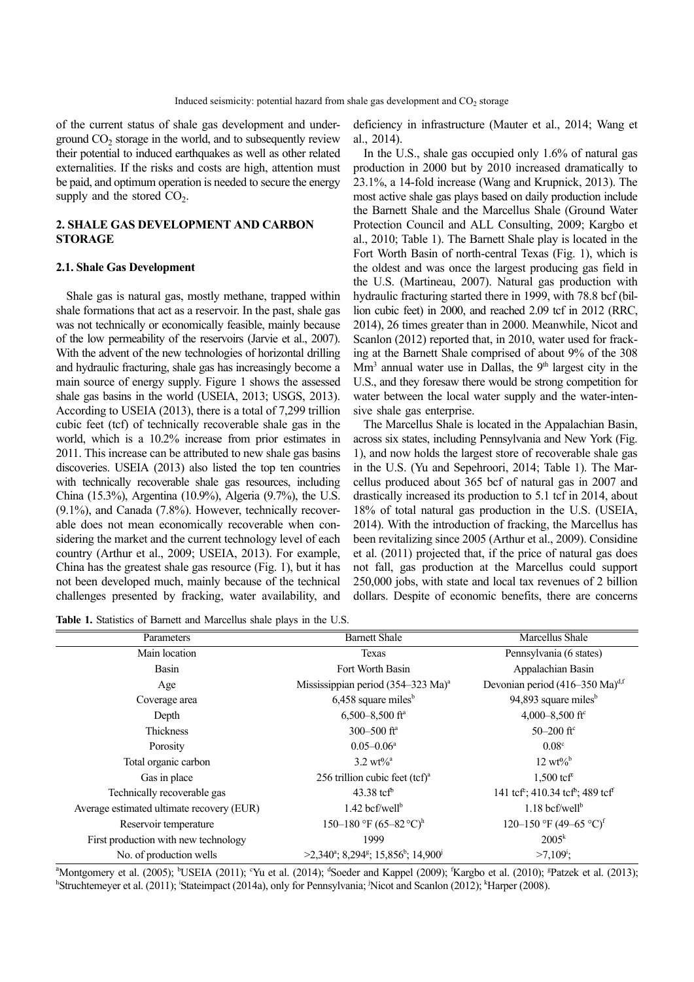of the current status of shale gas development and underground  $CO<sub>2</sub>$  storage in the world, and to subsequently review their potential to induced earthquakes as well as other related externalities. If the risks and costs are high, attention must be paid, and optimum operation is needed to secure the energy supply and the stored  $CO<sub>2</sub>$ .

# **2. SHALE GAS DEVELOPMENT AND CARBON STORAGE**

#### **2.1. Shale Gas Development**

Shale gas is natural gas, mostly methane, trapped within shale formations that act as a reservoir. In the past, shale gas was not technically or economically feasible, mainly because of the low permeability of the reservoirs (Jarvie et al., 2007). With the advent of the new technologies of horizontal drilling and hydraulic fracturing, shale gas has increasingly become a main source of energy supply. Figure 1 shows the assessed shale gas basins in the world (USEIA, 2013; USGS, 2013). According to USEIA (2013), there is a total of 7,299 trillion cubic feet (tcf) of technically recoverable shale gas in the world, which is a 10.2% increase from prior estimates in 2011. This increase can be attributed to new shale gas basins discoveries. USEIA (2013) also listed the top ten countries with technically recoverable shale gas resources, including China (15.3%), Argentina (10.9%), Algeria (9.7%), the U.S. (9.1%), and Canada (7.8%). However, technically recoverable does not mean economically recoverable when considering the market and the current technology level of each country (Arthur et al., 2009; USEIA, 2013). For example, China has the greatest shale gas resource (Fig. 1), but it has not been developed much, mainly because of the technical challenges presented by fracking, water availability, and

**Table 1.** Statistics of Barnett and Marcellus shale plays in the U.S.

deficiency in infrastructure (Mauter et al., 2014; Wang et al., 2014).

In the U.S., shale gas occupied only 1.6% of natural gas production in 2000 but by 2010 increased dramatically to 23.1%, a 14-fold increase (Wang and Krupnick, 2013). The most active shale gas plays based on daily production include the Barnett Shale and the Marcellus Shale (Ground Water Protection Council and ALL Consulting, 2009; Kargbo et al., 2010; Table 1). The Barnett Shale play is located in the Fort Worth Basin of north-central Texas (Fig. 1), which is the oldest and was once the largest producing gas field in the U.S. (Martineau, 2007). Natural gas production with hydraulic fracturing started there in 1999, with 78.8 bcf (billion cubic feet) in 2000, and reached 2.09 tcf in 2012 (RRC, 2014), 26 times greater than in 2000. Meanwhile, Nicot and Scanlon (2012) reported that, in 2010, water used for fracking at the Barnett Shale comprised of about 9% of the 308  $Mm<sup>3</sup>$  annual water use in Dallas, the 9<sup>th</sup> largest city in the U.S., and they foresaw there would be strong competition for water between the local water supply and the water-intensive shale gas enterprise.

The Marcellus Shale is located in the Appalachian Basin, across six states, including Pennsylvania and New York (Fig. 1), and now holds the largest store of recoverable shale gas in the U.S. (Yu and Sepehroori, 2014; Table 1). The Marcellus produced about 365 bcf of natural gas in 2007 and drastically increased its production to 5.1 tcf in 2014, about 18% of total natural gas production in the U.S. (USEIA, 2014). With the introduction of fracking, the Marcellus has been revitalizing since 2005 (Arthur et al., 2009). Considine et al. (2011) projected that, if the price of natural gas does not fall, gas production at the Marcellus could support 250,000 jobs, with state and local tax revenues of 2 billion dollars. Despite of economic benefits, there are concerns

| Parameters                                | <b>Barnett Shale</b>                                                              | Marcellus Shale                                                       |
|-------------------------------------------|-----------------------------------------------------------------------------------|-----------------------------------------------------------------------|
| Main location                             | Texas                                                                             | Pennsylvania (6 states)                                               |
| Basin                                     | Fort Worth Basin                                                                  | Appalachian Basin                                                     |
| Age                                       | Mississippian period (354–323 Ma) <sup>a</sup>                                    | Devonian period $(416-350 \text{ Ma})^{\text{d,f}}$                   |
| Coverage area                             | $6,458$ square miles <sup>b</sup>                                                 | 94,893 square miles <sup>b</sup>                                      |
| Depth                                     | $6,500 - 8,500$ ft <sup>a</sup>                                                   | 4,000-8,500 ft $c$                                                    |
| Thickness                                 | 300-500 $ft^a$                                                                    | 50 $-200$ ft <sup>c</sup>                                             |
| Porosity                                  | $0.05 - 0.06^a$                                                                   | 0.08 <sup>c</sup>                                                     |
| Total organic carbon                      | $3.2 \text{ wt} \%^{\text{a}}$                                                    | $12 \text{ wt} \%^b$                                                  |
| Gas in place                              | 256 trillion cubic feet $(tcf)^a$                                                 | $1,500$ tcf <sup>c</sup>                                              |
| Technically recoverable gas               | $43.38 \text{ tcf}^b$                                                             | 141 tcf <sup>e</sup> ; 410.34 tcf <sup>b</sup> ; 489 tcf <sup>f</sup> |
| Average estimated ultimate recovery (EUR) | $1.42$ bcf/well <sup>b</sup>                                                      | $1.18$ bcf/well <sup>b</sup>                                          |
| Reservoir temperature                     | 150–180 °F (65–82 °C) <sup>h</sup>                                                | 120-150 °F (49-65 °C) <sup>f</sup>                                    |
| First production with new technology      | 1999                                                                              | $2005^k$                                                              |
| No. of production wells                   | $>2,340^{\circ}$ ; 8,294 <sup>g</sup> ; 15,856 <sup>b</sup> ; 14,900 <sup>j</sup> | $>7,109$ ;                                                            |
|                                           |                                                                                   |                                                                       |

<sup>a</sup>Montgomery et al. (2005); <sup>b</sup>USEIA (2011); <sup>c</sup>Yu et al. (2014); <sup>d</sup>Soeder and Kappel (2009); <sup>f</sup>Kargbo et al. (2010); <sup>g</sup>Patzek et al. (2013); h Struchtemeyer et al. (2011); <sup>i</sup>Stateimpact (2014a), only for Pennsylvania; <sup>i</sup>Nicot and Scanlon (2012); <sup>k</sup>Harper (2008).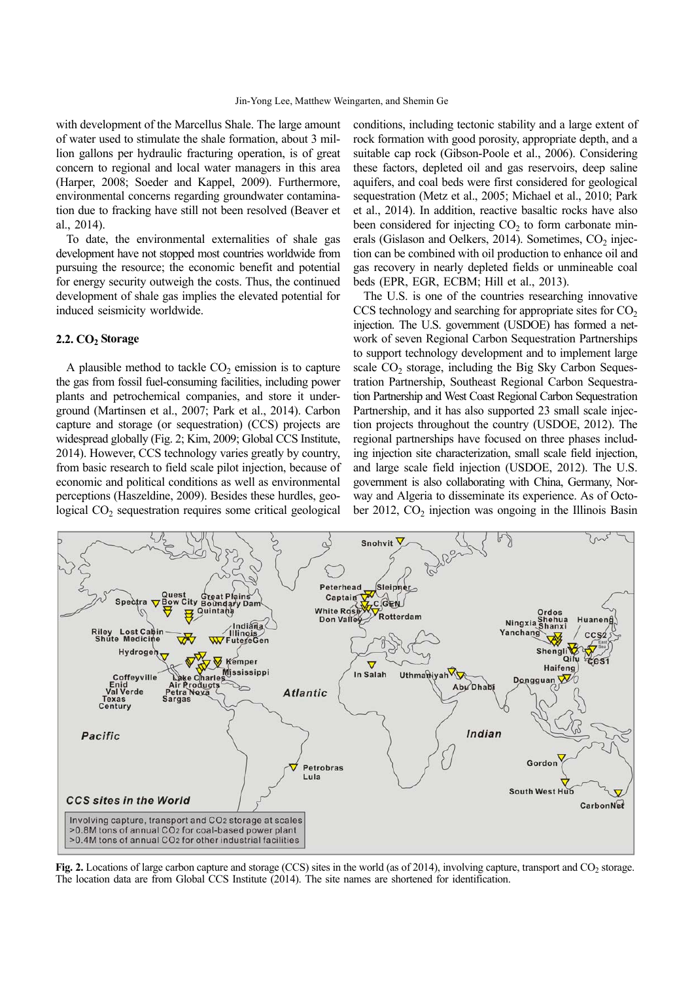with development of the Marcellus Shale. The large amount of water used to stimulate the shale formation, about 3 million gallons per hydraulic fracturing operation, is of great concern to regional and local water managers in this area (Harper, 2008; Soeder and Kappel, 2009). Furthermore, environmental concerns regarding groundwater contamination due to fracking have still not been resolved (Beaver et al., 2014).

To date, the environmental externalities of shale gas development have not stopped most countries worldwide from pursuing the resource; the economic benefit and potential for energy security outweigh the costs. Thus, the continued development of shale gas implies the elevated potential for induced seismicity worldwide.

## **2.2. CO<sub>2</sub> Storage**

A plausible method to tackle  $CO<sub>2</sub>$  emission is to capture the gas from fossil fuel-consuming facilities, including power plants and petrochemical companies, and store it underground (Martinsen et al., 2007; Park et al., 2014). Carbon capture and storage (or sequestration) (CCS) projects are widespread globally (Fig. 2; Kim, 2009; Global CCS Institute, 2014). However, CCS technology varies greatly by country, from basic research to field scale pilot injection, because of economic and political conditions as well as environmental perceptions (Haszeldine, 2009). Besides these hurdles, geological  $CO<sub>2</sub>$  sequestration requires some critical geological conditions, including tectonic stability and a large extent of rock formation with good porosity, appropriate depth, and a suitable cap rock (Gibson-Poole et al., 2006). Considering these factors, depleted oil and gas reservoirs, deep saline aquifers, and coal beds were first considered for geological sequestration (Metz et al., 2005; Michael et al., 2010; Park et al., 2014). In addition, reactive basaltic rocks have also been considered for injecting  $CO<sub>2</sub>$  to form carbonate minerals (Gislason and Oelkers, 2014). Sometimes,  $CO<sub>2</sub>$  injection can be combined with oil production to enhance oil and gas recovery in nearly depleted fields or unmineable coal beds (EPR, EGR, ECBM; Hill et al., 2013).

The U.S. is one of the countries researching innovative  $CCS$  technology and searching for appropriate sites for  $CO<sub>2</sub>$ injection. The U.S. government (USDOE) has formed a network of seven Regional Carbon Sequestration Partnerships to support technology development and to implement large scale  $CO<sub>2</sub>$  storage, including the Big Sky Carbon Sequestration Partnership, Southeast Regional Carbon Sequestration Partnership and West Coast Regional Carbon Sequestration Partnership, and it has also supported 23 small scale injection projects throughout the country (USDOE, 2012). The regional partnerships have focused on three phases including injection site characterization, small scale field injection, and large scale field injection (USDOE, 2012). The U.S. government is also collaborating with China, Germany, Norway and Algeria to disseminate its experience. As of October 2012,  $CO<sub>2</sub>$  injection was ongoing in the Illinois Basin



**Fig. 2.** Locations of large carbon capture and storage (CCS) sites in the world (as of 2014), involving capture, transport and CO<sub>2</sub> storage. The location data are from Global CCS Institute (2014). The site names are shortened for identification.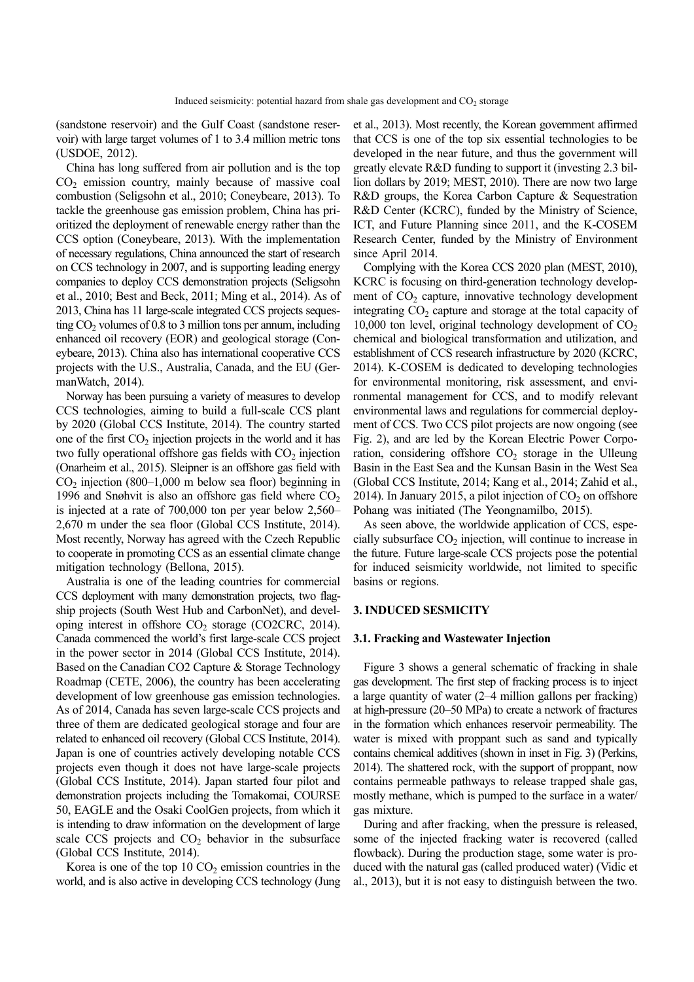(sandstone reservoir) and the Gulf Coast (sandstone reservoir) with large target volumes of 1 to 3.4 million metric tons (USDOE, 2012).

China has long suffered from air pollution and is the top  $CO<sub>2</sub>$  emission country, mainly because of massive coal combustion (Seligsohn et al., 2010; Coneybeare, 2013). To tackle the greenhouse gas emission problem, China has prioritized the deployment of renewable energy rather than the CCS option (Coneybeare, 2013). With the implementation of necessary regulations, China announced the start of research on CCS technology in 2007, and is supporting leading energy companies to deploy CCS demonstration projects (Seligsohn et al., 2010; Best and Beck, 2011; Ming et al., 2014). As of 2013, China has 11 large-scale integrated CCS projects sequesting  $CO<sub>2</sub>$  volumes of 0.8 to 3 million tons per annum, including enhanced oil recovery (EOR) and geological storage (Coneybeare, 2013). China also has international cooperative CCS projects with the U.S., Australia, Canada, and the EU (GermanWatch, 2014).

Norway has been pursuing a variety of measures to develop CCS technologies, aiming to build a full-scale CCS plant by 2020 (Global CCS Institute, 2014). The country started one of the first  $CO<sub>2</sub>$  injection projects in the world and it has two fully operational offshore gas fields with  $CO<sub>2</sub>$  injection (Onarheim et al., 2015). Sleipner is an offshore gas field with  $CO<sub>2</sub>$  injection (800–1,000 m below sea floor) beginning in 1996 and Snøhvit is also an offshore gas field where  $CO<sub>2</sub>$ is injected at a rate of 700,000 ton per year below 2,560– 2,670 m under the sea floor (Global CCS Institute, 2014). Most recently, Norway has agreed with the Czech Republic to cooperate in promoting CCS as an essential climate change mitigation technology (Bellona, 2015).

Australia is one of the leading countries for commercial CCS deployment with many demonstration projects, two flagship projects (South West Hub and CarbonNet), and developing interest in offshore  $CO<sub>2</sub>$  storage (CO2CRC, 2014). Canada commenced the world's first large-scale CCS project in the power sector in 2014 (Global CCS Institute, 2014). Based on the Canadian CO2 Capture & Storage Technology Roadmap (CETE, 2006), the country has been accelerating development of low greenhouse gas emission technologies. As of 2014, Canada has seven large-scale CCS projects and three of them are dedicated geological storage and four are related to enhanced oil recovery (Global CCS Institute, 2014). Japan is one of countries actively developing notable CCS projects even though it does not have large-scale projects (Global CCS Institute, 2014). Japan started four pilot and demonstration projects including the Tomakomai, COURSE 50, EAGLE and the Osaki CoolGen projects, from which it is intending to draw information on the development of large scale CCS projects and  $CO<sub>2</sub>$  behavior in the subsurface (Global CCS Institute, 2014).

Korea is one of the top  $10 \text{ CO}_2$  emission countries in the world, and is also active in developing CCS technology (Jung et al., 2013). Most recently, the Korean government affirmed that CCS is one of the top six essential technologies to be developed in the near future, and thus the government will greatly elevate R&D funding to support it (investing 2.3 billion dollars by 2019; MEST, 2010). There are now two large R&D groups, the Korea Carbon Capture & Sequestration R&D Center (KCRC), funded by the Ministry of Science, ICT, and Future Planning since 2011, and the K-COSEM Research Center, funded by the Ministry of Environment since April 2014.

Complying with the Korea CCS 2020 plan (MEST, 2010), KCRC is focusing on third-generation technology development of  $CO<sub>2</sub>$  capture, innovative technology development integrating  $CO<sub>2</sub>$  capture and storage at the total capacity of 10,000 ton level, original technology development of  $CO<sub>2</sub>$ chemical and biological transformation and utilization, and establishment of CCS research infrastructure by 2020 (KCRC, 2014). K-COSEM is dedicated to developing technologies for environmental monitoring, risk assessment, and environmental management for CCS, and to modify relevant environmental laws and regulations for commercial deployment of CCS. Two CCS pilot projects are now ongoing (see Fig. 2), and are led by the Korean Electric Power Corporation, considering offshore  $CO<sub>2</sub>$  storage in the Ulleung Basin in the East Sea and the Kunsan Basin in the West Sea (Global CCS Institute, 2014; Kang et al., 2014; Zahid et al., 2014). In January 2015, a pilot injection of  $CO<sub>2</sub>$  on offshore Pohang was initiated (The Yeongnamilbo, 2015).

As seen above, the worldwide application of CCS, especially subsurface  $CO<sub>2</sub>$  injection, will continue to increase in the future. Future large-scale CCS projects pose the potential for induced seismicity worldwide, not limited to specific basins or regions.

### **3. INDUCED SESMICITY**

#### **3.1. Fracking and Wastewater Injection**

Figure 3 shows a general schematic of fracking in shale gas development. The first step of fracking process is to inject a large quantity of water (2–4 million gallons per fracking) at high-pressure (20–50 MPa) to create a network of fractures in the formation which enhances reservoir permeability. The water is mixed with proppant such as sand and typically contains chemical additives (shown in inset in Fig. 3) (Perkins, 2014). The shattered rock, with the support of proppant, now contains permeable pathways to release trapped shale gas, mostly methane, which is pumped to the surface in a water/ gas mixture.

During and after fracking, when the pressure is released, some of the injected fracking water is recovered (called flowback). During the production stage, some water is produced with the natural gas (called produced water) (Vidic et al., 2013), but it is not easy to distinguish between the two.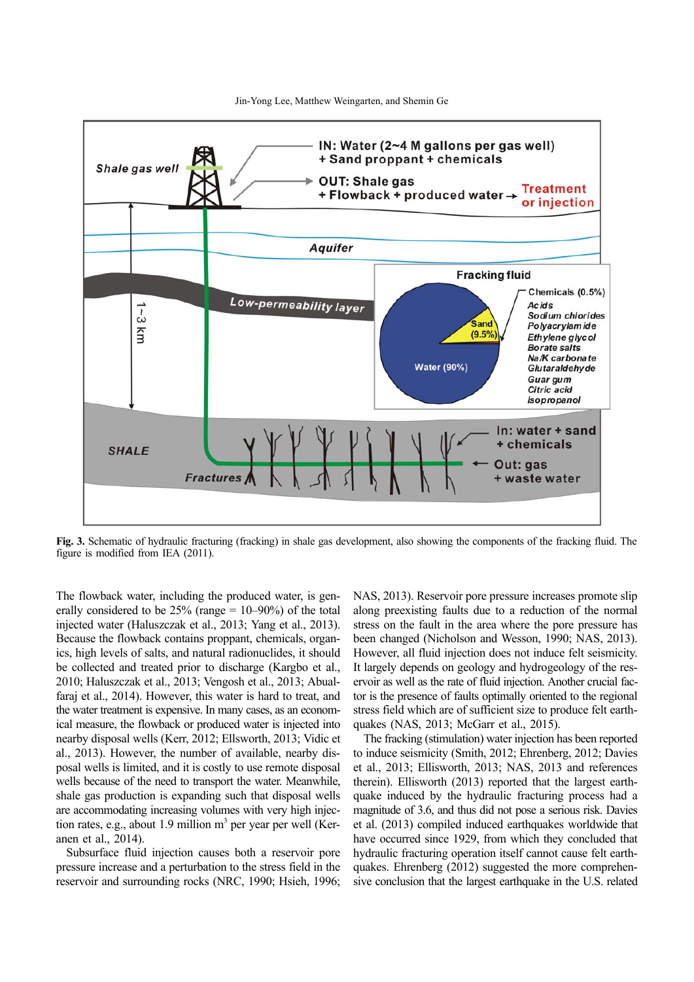Jin-Yong Lee, Matthew Weingarten, and Shemin Ge



**Fig. 3.** Schematic of hydraulic fracturing (fracking) in shale gas development, also showing the components of the fracking fluid. The figure is modified from IEA (2011).

The flowback water, including the produced water, is generally considered to be  $25\%$  (range =  $10-90\%$ ) of the total injected water (Haluszczak et al., 2013; Yang et al., 2013). Because the flowback contains proppant, chemicals, organics, high levels of salts, and natural radionuclides, it should be collected and treated prior to discharge (Kargbo et al., 2010; Haluszczak et al., 2013; Vengosh et al., 2013; Abualfaraj et al., 2014). However, this water is hard to treat, and the water treatment is expensive. In many cases, as an economical measure, the flowback or produced water is injected into nearby disposal wells (Kerr, 2012; Ellsworth, 2013; Vidic et al., 2013). However, the number of available, nearby disposal wells is limited, and it is costly to use remote disposal wells because of the need to transport the water. Meanwhile, shale gas production is expanding such that disposal wells are accommodating increasing volumes with very high injection rates, e.g., about 1.9 million  $m<sup>3</sup>$  per year per well (Keranen et al., 2014).

Subsurface fluid injection causes both a reservoir pore pressure increase and a perturbation to the stress field in the reservoir and surrounding rocks (NRC, 1990; Hsieh, 1996;

NAS, 2013). Reservoir pore pressure increases promote slip along preexisting faults due to a reduction of the normal stress on the fault in the area where the pore pressure has been changed (Nicholson and Wesson, 1990; NAS, 2013). However, all fluid injection does not induce felt seismicity. It largely depends on geology and hydrogeology of the reservoir as well as the rate of fluid injection. Another crucial factor is the presence of faults optimally oriented to the regional stress field which are of sufficient size to produce felt earthquakes (NAS, 2013; McGarr et al., 2015).

The fracking (stimulation) water injection has been reported to induce seismicity (Smith, 2012; Ehrenberg, 2012; Davies et al., 2013; Ellisworth, 2013; NAS, 2013 and references therein). Ellisworth (2013) reported that the largest earthquake induced by the hydraulic fracturing process had a magnitude of 3.6, and thus did not pose a serious risk. Davies et al. (2013) compiled induced earthquakes worldwide that have occurred since 1929, from which they concluded that hydraulic fracturing operation itself cannot cause felt earthquakes. Ehrenberg (2012) suggested the more comprehensive conclusion that the largest earthquake in the U.S. related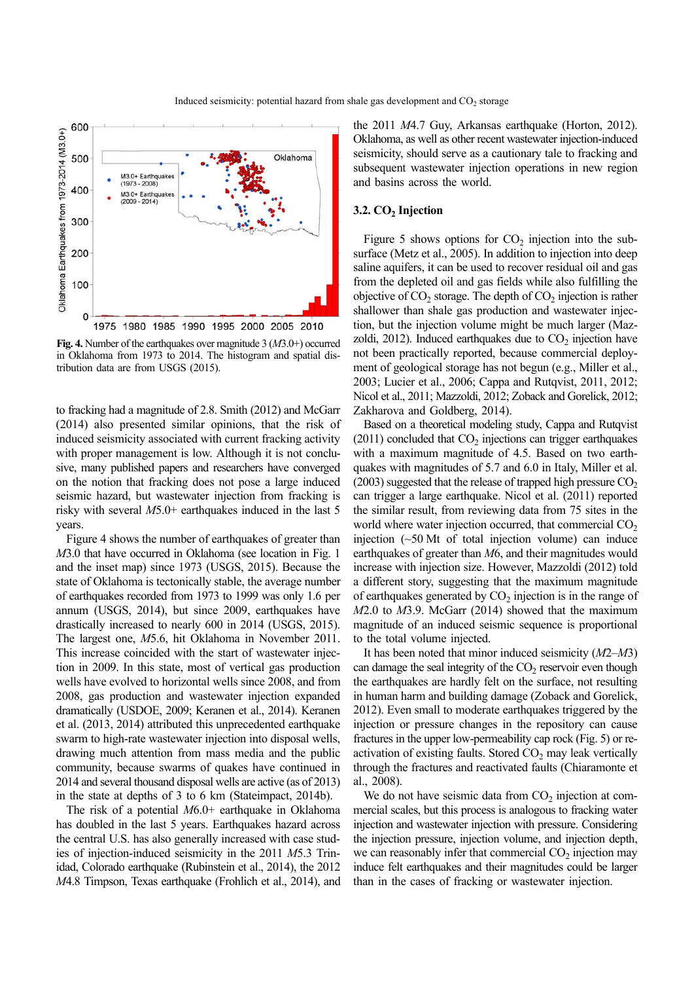

**Fig. 4.** Number of the earthquakes over magnitude 3 (*M*3.0+) occurred in Oklahoma from 1973 to 2014. The histogram and spatial distribution data are from USGS (2015).

to fracking had a magnitude of 2.8. Smith (2012) and McGarr (2014) also presented similar opinions, that the risk of induced seismicity associated with current fracking activity with proper management is low. Although it is not conclusive, many published papers and researchers have converged on the notion that fracking does not pose a large induced seismic hazard, but wastewater injection from fracking is risky with several *M*5.0+ earthquakes induced in the last 5 years.

Figure 4 shows the number of earthquakes of greater than *M*3.0 that have occurred in Oklahoma (see location in Fig. 1) and the inset map) since 1973 (USGS, 2015). Because the state of Oklahoma is tectonically stable, the average number of earthquakes recorded from 1973 to 1999 was only 1.6 per annum (USGS, 2014), but since 2009, earthquakes have drastically increased to nearly 600 in 2014 (USGS, 2015). The largest one, *M*5.6, hit Oklahoma in November 2011. This increase coincided with the start of wastewater injection in 2009. In this state, most of vertical gas production wells have evolved to horizontal wells since 2008, and from 2008, gas production and wastewater injection expanded dramatically (USDOE, 2009; Keranen et al., 2014). Keranen et al. (2013, 2014) attributed this unprecedented earthquake swarm to high-rate wastewater injection into disposal wells, drawing much attention from mass media and the public community, because swarms of quakes have continued in 2014 and several thousand disposal wells are active (as of 2013) in the state at depths of 3 to 6 km (Stateimpact, 2014b).

The risk of a potential *M*6.0+ earthquake in Oklahoma has doubled in the last 5 years. Earthquakes hazard across the central U.S. has also generally increased with case studies of injection-induced seismicity in the 2011 *M*5.3 Trinidad, Colorado earthquake (Rubinstein et al., 2014), the 2012 *M*4.8 Timpson, Texas earthquake (Frohlich et al., 2014), and the 2011 *M*4.7 Guy, Arkansas earthquake (Horton, 2012). Oklahoma, as well as other recent wastewater injection-induced seismicity, should serve as a cautionary tale to fracking and subsequent wastewater injection operations in new region and basins across the world.

## 3.2. CO<sub>2</sub> Injection

Figure 5 shows options for  $CO<sub>2</sub>$  injection into the subsurface (Metz et al., 2005). In addition to injection into deep saline aquifers, it can be used to recover residual oil and gas from the depleted oil and gas fields while also fulfilling the objective of  $CO<sub>2</sub>$  storage. The depth of  $CO<sub>2</sub>$  injection is rather shallower than shale gas production and wastewater injection, but the injection volume might be much larger (Mazzoldi, 2012). Induced earthquakes due to  $CO<sub>2</sub>$  injection have not been practically reported, because commercial deployment of geological storage has not begun (e.g., Miller et al., 2003; Lucier et al., 2006; Cappa and Rutqvist, 2011, 2012; Nicol et al., 2011; Mazzoldi, 2012; Zoback and Gorelick, 2012; Zakharova and Goldberg, 2014).

Based on a theoretical modeling study, Cappa and Rutqvist  $(2011)$  concluded that  $CO<sub>2</sub>$  injections can trigger earthquakes with a maximum magnitude of 4.5. Based on two earthquakes with magnitudes of 5.7 and 6.0 in Italy, Miller et al. (2003) suggested that the release of trapped high pressure  $CO<sub>2</sub>$ can trigger a large earthquake. Nicol et al. (2011) reported the similar result, from reviewing data from 75 sites in the world where water injection occurred, that commercial  $CO<sub>2</sub>$ injection  $(\sim 50 \text{ Mt of total injection volume})$  can induce earthquakes of greater than *M*6, and their magnitudes would increase with injection size. However, Mazzoldi (2012) told a different story, suggesting that the maximum magnitude of earthquakes generated by  $CO<sub>2</sub>$  injection is in the range of *M*2.0 to *M*3.9. McGarr (2014) showed that the maximum magnitude of an induced seismic sequence is proportional to the total volume injected.

It has been noted that minor induced seismicity (*M*2–*M*3) can damage the seal integrity of the  $CO<sub>2</sub>$  reservoir even though the earthquakes are hardly felt on the surface, not resulting in human harm and building damage (Zoback and Gorelick, 2012). Even small to moderate earthquakes triggered by the injection or pressure changes in the repository can cause fractures in the upper low-permeability cap rock (Fig. 5) or reactivation of existing faults. Stored  $CO<sub>2</sub>$  may leak vertically through the fractures and reactivated faults (Chiaramonte et al., 2008).

We do not have seismic data from  $CO<sub>2</sub>$  injection at commercial scales, but this process is analogous to fracking water injection and wastewater injection with pressure. Considering the injection pressure, injection volume, and injection depth, we can reasonably infer that commercial  $CO<sub>2</sub>$  injection may induce felt earthquakes and their magnitudes could be larger than in the cases of fracking or wastewater injection.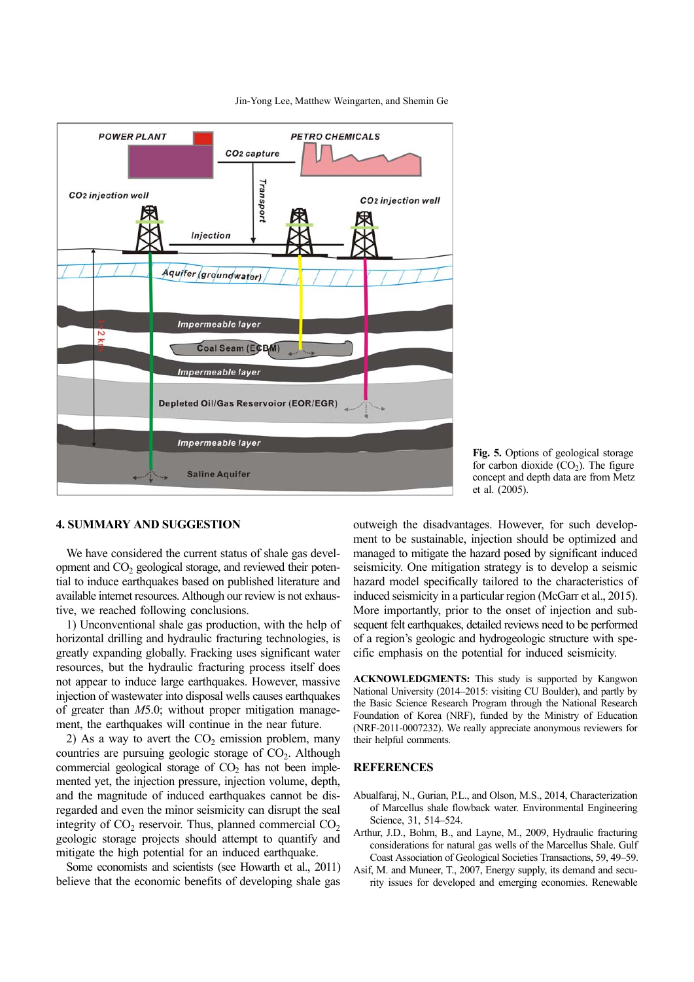

Jin-Yong Lee, Matthew Weingarten, and Shemin Ge

**Fig. 5.** Options of geological storage for carbon dioxide  $(CO<sub>2</sub>)$ . The figure concept and depth data are from Metz et al. (2005).

#### **4. SUMMARY AND SUGGESTION**

We have considered the current status of shale gas development and  $CO<sub>2</sub>$  geological storage, and reviewed their potential to induce earthquakes based on published literature and available internet resources. Although our review is not exhaustive, we reached following conclusions.

1) Unconventional shale gas production, with the help of horizontal drilling and hydraulic fracturing technologies, is greatly expanding globally. Fracking uses significant water resources, but the hydraulic fracturing process itself does not appear to induce large earthquakes. However, massive injection of wastewater into disposal wells causes earthquakes of greater than *M*5.0; without proper mitigation management, the earthquakes will continue in the near future.

2) As a way to avert the  $CO<sub>2</sub>$  emission problem, many countries are pursuing geologic storage of  $CO<sub>2</sub>$ . Although commercial geological storage of  $CO<sub>2</sub>$  has not been implemented yet, the injection pressure, injection volume, depth, and the magnitude of induced earthquakes cannot be disregarded and even the minor seismicity can disrupt the seal integrity of  $CO<sub>2</sub>$  reservoir. Thus, planned commercial  $CO<sub>2</sub>$ geologic storage projects should attempt to quantify and mitigate the high potential for an induced earthquake.

Some economists and scientists (see Howarth et al., 2011) believe that the economic benefits of developing shale gas

outweigh the disadvantages. However, for such development to be sustainable, injection should be optimized and managed to mitigate the hazard posed by significant induced seismicity. One mitigation strategy is to develop a seismic hazard model specifically tailored to the characteristics of induced seismicity in a particular region (McGarr et al., 2015). More importantly, prior to the onset of injection and subsequent felt earthquakes, detailed reviews need to be performed of a region's geologic and hydrogeologic structure with specific emphasis on the potential for induced seismicity.

**ACKNOWLEDGMENTS:** This study is supported by Kangwon National University (2014–2015: visiting CU Boulder), and partly by the Basic Science Research Program through the National Research Foundation of Korea (NRF), funded by the Ministry of Education (NRF-2011-0007232). We really appreciate anonymous reviewers for their helpful comments.

#### **REFERENCES**

- Abualfaraj, N., Gurian, P.L., and Olson, M.S., 2014, Characterization of Marcellus shale flowback water. Environmental Engineering Science, 31, 514–524.
- Arthur, J.D., Bohm, B., and Layne, M., 2009, Hydraulic fracturing considerations for natural gas wells of the Marcellus Shale. Gulf Coast Association of Geological Societies Transactions, 59, 49–59.
- Asif, M. and Muneer, T., 2007, Energy supply, its demand and security issues for developed and emerging economies. Renewable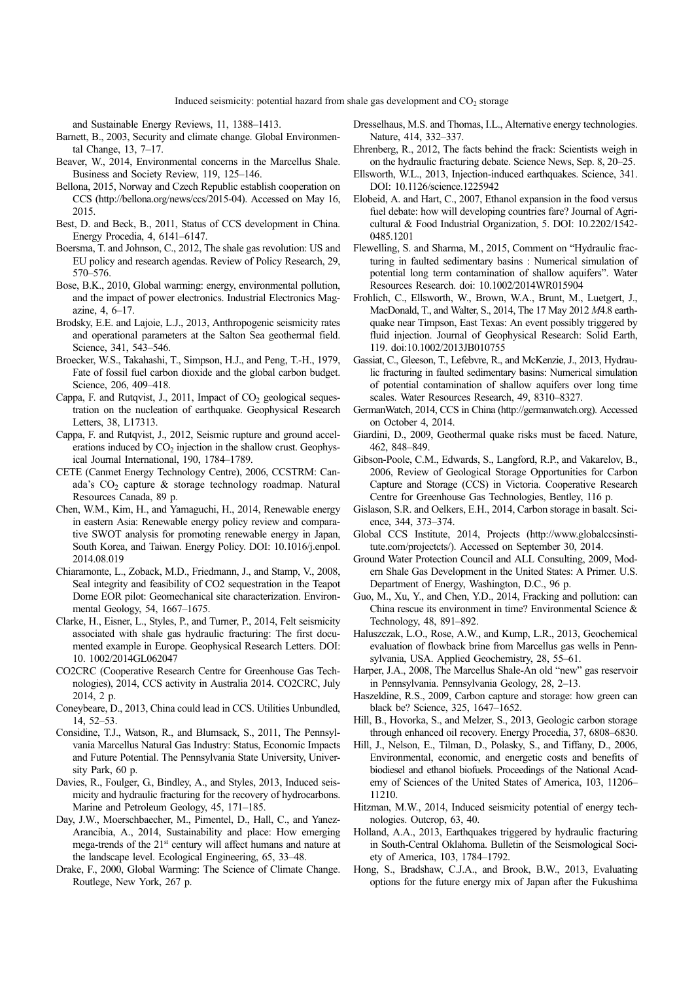and Sustainable Energy Reviews, 11, 1388–1413.

- Barnett, B., 2003, Security and climate change. Global Environmental Change, 13, 7–17.
- Beaver, W., 2014, Environmental concerns in the Marcellus Shale. Business and Society Review, 119, 125–146.
- Bellona, 2015, Norway and Czech Republic establish cooperation on CCS (http://bellona.org/news/ccs/2015-04). Accessed on May 16, 2015.
- Best, D. and Beck, B., 2011, Status of CCS development in China. Energy Procedia, 4, 6141–6147.
- Boersma, T. and Johnson, C., 2012, The shale gas revolution: US and EU policy and research agendas. Review of Policy Research, 29, 570–576.
- Bose, B.K., 2010, Global warming: energy, environmental pollution, and the impact of power electronics. Industrial Electronics Magazine, 4, 6–17.
- Brodsky, E.E. and Lajoie, L.J., 2013, Anthropogenic seismicity rates and operational parameters at the Salton Sea geothermal field. Science, 341, 543–546.
- Broecker, W.S., Takahashi, T., Simpson, H.J., and Peng, T.-H., 1979, Fate of fossil fuel carbon dioxide and the global carbon budget. Science, 206, 409–418.
- Cappa, F. and Rutqvist, J., 2011, Impact of  $CO<sub>2</sub>$  geological sequestration on the nucleation of earthquake. Geophysical Research Letters, 38, L17313.
- Cappa, F. and Rutqvist, J., 2012, Seismic rupture and ground accelerations induced by  $CO<sub>2</sub>$  injection in the shallow crust. Geophysical Journal International, 190, 1784–1789.
- CETE (Canmet Energy Technology Centre), 2006, CCSTRM: Canada's  $CO<sub>2</sub>$  capture & storage technology roadmap. Natural Resources Canada, 89 p.
- Chen, W.M., Kim, H., and Yamaguchi, H., 2014, Renewable energy in eastern Asia: Renewable energy policy review and comparative SWOT analysis for promoting renewable energy in Japan, South Korea, and Taiwan. Energy Policy. DOI: 10.1016/j.enpol. 2014.08.019
- Chiaramonte, L., Zoback, M.D., Friedmann, J., and Stamp, V., 2008, Seal integrity and feasibility of CO2 sequestration in the Teapot Dome EOR pilot: Geomechanical site characterization. Environmental Geology, 54, 1667–1675.
- Clarke, H., Eisner, L., Styles, P., and Turner, P., 2014, Felt seismicity associated with shale gas hydraulic fracturing: The first documented example in Europe. Geophysical Research Letters. DOI: 10. 1002/2014GL062047
- CO2CRC (Cooperative Research Centre for Greenhouse Gas Technologies), 2014, CCS activity in Australia 2014. CO2CRC, July 2014, 2 p.
- Coneybeare, D., 2013, China could lead in CCS. Utilities Unbundled, 14, 52–53.
- Considine, T.J., Watson, R., and Blumsack, S., 2011, The Pennsylvania Marcellus Natural Gas Industry: Status, Economic Impacts and Future Potential. The Pennsylvania State University, University Park, 60 p.
- Davies, R., Foulger, G., Bindley, A., and Styles, 2013, Induced seismicity and hydraulic fracturing for the recovery of hydrocarbons. Marine and Petroleum Geology, 45, 171–185.
- Day, J.W., Moerschbaecher, M., Pimentel, D., Hall, C., and Yanez-Arancibia, A., 2014, Sustainability and place: How emerging mega-trends of the 21<sup>st</sup> century will affect humans and nature at the landscape level. Ecological Engineering, 65, 33–48.
- Drake, F., 2000, Global Warming: The Science of Climate Change. Routlege, New York, 267 p.
- Dresselhaus, M.S. and Thomas, I.L., Alternative energy technologies. Nature, 414, 332–337.
- Ehrenberg, R., 2012, The facts behind the frack: Scientists weigh in on the hydraulic fracturing debate. Science News, Sep. 8, 20–25.
- Ellsworth, W.L., 2013, Injection-induced earthquakes. Science, 341. DOI: 10.1126/science.1225942
- Elobeid, A. and Hart, C., 2007, Ethanol expansion in the food versus fuel debate: how will developing countries fare? Journal of Agricultural & Food Industrial Organization, 5. DOI: 10.2202/1542- 0485.1201
- Flewelling, S. and Sharma, M., 2015, Comment on "Hydraulic fracturing in faulted sedimentary basins : Numerical simulation of potential long term contamination of shallow aquifers". Water Resources Research. doi: 10.1002/2014WR015904
- Frohlich, C., Ellsworth, W., Brown, W.A., Brunt, M., Luetgert, J., MacDonald, T., and Walter, S., 2014, The 17 May 2012 *M*4.8 earthquake near Timpson, East Texas: An event possibly triggered by fluid injection. Journal of Geophysical Research: Solid Earth, 119. doi:10.1002/2013JB010755
- Gassiat, C., Gleeson, T., Lefebvre, R., and McKenzie, J., 2013, Hydraulic fracturing in faulted sedimentary basins: Numerical simulation of potential contamination of shallow aquifers over long time scales. Water Resources Research, 49, 8310–8327.
- GermanWatch, 2014, CCS in China (http://germanwatch.org). Accessed on October 4, 2014.
- Giardini, D., 2009, Geothermal quake risks must be faced. Nature, 462, 848–849.
- Gibson-Poole, C.M., Edwards, S., Langford, R.P., and Vakarelov, B., 2006, Review of Geological Storage Opportunities for Carbon Capture and Storage (CCS) in Victoria. Cooperative Research Centre for Greenhouse Gas Technologies, Bentley, 116 p.
- Gislason, S.R. and Oelkers, E.H., 2014, Carbon storage in basalt. Science, 344, 373–374.
- Global CCS Institute, 2014, Projects (http://www.globalccsinstitute.com/projectcts/). Accessed on September 30, 2014.
- Ground Water Protection Council and ALL Consulting, 2009, Modern Shale Gas Development in the United States: A Primer. U.S. Department of Energy, Washington, D.C., 96 p.
- Guo, M., Xu, Y., and Chen, Y.D., 2014, Fracking and pollution: can China rescue its environment in time? Environmental Science & Technology, 48, 891–892.
- Haluszczak, L.O., Rose, A.W., and Kump, L.R., 2013, Geochemical evaluation of flowback brine from Marcellus gas wells in Pennsylvania, USA. Applied Geochemistry, 28, 55–61.
- Harper, J.A., 2008, The Marcellus Shale-An old "new" gas reservoir in Pennsylvania. Pennsylvania Geology, 28, 2–13.
- Haszeldine, R.S., 2009, Carbon capture and storage: how green can black be? Science, 325, 1647–1652.
- Hill, B., Hovorka, S., and Melzer, S., 2013, Geologic carbon storage through enhanced oil recovery. Energy Procedia, 37, 6808–6830.
- Hill, J., Nelson, E., Tilman, D., Polasky, S., and Tiffany, D., 2006, Environmental, economic, and energetic costs and benefits of biodiesel and ethanol biofuels. Proceedings of the National Academy of Sciences of the United States of America, 103, 11206– 11210.
- Hitzman, M.W., 2014, Induced seismicity potential of energy technologies. Outcrop, 63, 40.
- Holland, A.A., 2013, Earthquakes triggered by hydraulic fracturing in South-Central Oklahoma. Bulletin of the Seismological Society of America, 103, 1784–1792.
- Hong, S., Bradshaw, C.J.A., and Brook, B.W., 2013, Evaluating options for the future energy mix of Japan after the Fukushima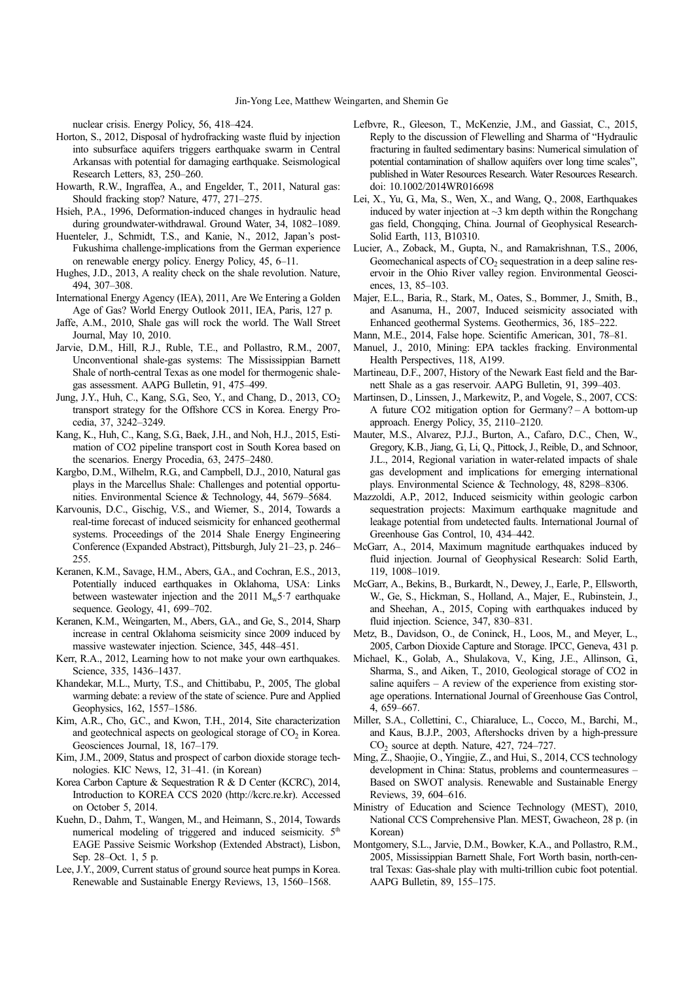nuclear crisis. Energy Policy, 56, 418–424.

- Horton, S., 2012, Disposal of hydrofracking waste fluid by injection into subsurface aquifers triggers earthquake swarm in Central Arkansas with potential for damaging earthquake. Seismological Research Letters, 83, 250–260.
- Howarth, R.W., Ingraffea, A., and Engelder, T., 2011, Natural gas: Should fracking stop? Nature, 477, 271–275.
- Hsieh, P.A., 1996, Deformation-induced changes in hydraulic head during groundwater-withdrawal. Ground Water, 34, 1082–1089.
- Huenteler, J., Schmidt, T.S., and Kanie, N., 2012, Japan's post-Fukushima challenge-implications from the German experience on renewable energy policy. Energy Policy, 45, 6–11.
- Hughes, J.D., 2013, A reality check on the shale revolution. Nature, 494, 307–308.
- International Energy Agency (IEA), 2011, Are We Entering a Golden Age of Gas? World Energy Outlook 2011, IEA, Paris, 127 p.
- Jaffe, A.M., 2010, Shale gas will rock the world. The Wall Street Journal, May 10, 2010.
- Jarvie, D.M., Hill, R.J., Ruble, T.E., and Pollastro, R.M., 2007, Unconventional shale-gas systems: The Mississippian Barnett Shale of north-central Texas as one model for thermogenic shalegas assessment. AAPG Bulletin, 91, 475–499.
- Jung, J.Y., Huh, C., Kang, S.G., Seo, Y., and Chang, D., 2013, CO<sub>2</sub> transport strategy for the Offshore CCS in Korea. Energy Procedia, 37, 3242–3249.
- Kang, K., Huh, C., Kang, S.G., Baek, J.H., and Noh, H.J., 2015, Estimation of CO2 pipeline transport cost in South Korea based on the scenarios. Energy Procedia, 63, 2475–2480.
- Kargbo, D.M., Wilhelm, R.G., and Campbell, D.J., 2010, Natural gas plays in the Marcellus Shale: Challenges and potential opportunities. Environmental Science & Technology, 44, 5679–5684.
- Karvounis, D.C., Gischig, V.S., and Wiemer, S., 2014, Towards a real-time forecast of induced seismicity for enhanced geothermal systems. Proceedings of the 2014 Shale Energy Engineering Conference (Expanded Abstract), Pittsburgh, July 21–23, p. 246– 255.
- Keranen, K.M., Savage, H.M., Abers, G.A., and Cochran, E.S., 2013, Potentially induced earthquakes in Oklahoma, USA: Links between wastewater injection and the 2011  $M_w$ 5.7 earthquake sequence. Geology, 41, 699–702.
- Keranen, K.M., Weingarten, M., Abers, G.A., and Ge, S., 2014, Sharp increase in central Oklahoma seismicity since 2009 induced by massive wastewater injection. Science, 345, 448–451.
- Kerr, R.A., 2012, Learning how to not make your own earthquakes. Science, 335, 1436–1437.
- Khandekar, M.L., Murty, T.S., and Chittibabu, P., 2005, The global warming debate: a review of the state of science. Pure and Applied Geophysics, 162, 1557–1586.
- Kim, A.R., Cho, G.C., and Kwon, T.H., 2014, Site characterization and geotechnical aspects on geological storage of  $CO<sub>2</sub>$  in Korea. Geosciences Journal, 18, 167–179.
- Kim, J.M., 2009, Status and prospect of carbon dioxide storage technologies. KIC News, 12, 31–41. (in Korean)
- Korea Carbon Capture & Sequestration R & D Center (KCRC), 2014, Introduction to KOREA CCS 2020 (http://kcrc.re.kr). Accessed on October 5, 2014.
- Kuehn, D., Dahm, T., Wangen, M., and Heimann, S., 2014, Towards numerical modeling of triggered and induced seismicity.  $5<sup>th</sup>$ EAGE Passive Seismic Workshop (Extended Abstract), Lisbon, Sep. 28–Oct. 1, 5 p.
- Lee, J.Y., 2009, Current status of ground source heat pumps in Korea. Renewable and Sustainable Energy Reviews, 13, 1560–1568.
- Lefbvre, R., Gleeson, T., McKenzie, J.M., and Gassiat, C., 2015, Reply to the discussion of Flewelling and Sharma of "Hydraulic fracturing in faulted sedimentary basins: Numerical simulation of potential contamination of shallow aquifers over long time scales", published in Water Resources Research. Water Resources Research. doi: 10.1002/2014WR016698
- Lei, X., Yu, G., Ma, S., Wen, X., and Wang, Q., 2008, Earthquakes induced by water injection at  $\sim$ 3 km depth within the Rongchang gas field, Chongqing, China. Journal of Geophysical Research-Solid Earth, 113, B10310.
- Lucier, A., Zoback, M., Gupta, N., and Ramakrishnan, T.S., 2006, Geomechanical aspects of  $CO<sub>2</sub>$  sequestration in a deep saline reservoir in the Ohio River valley region. Environmental Geosciences, 13, 85–103.
- Majer, E.L., Baria, R., Stark, M., Oates, S., Bommer, J., Smith, B., and Asanuma, H., 2007, Induced seismicity associated with Enhanced geothermal Systems. Geothermics, 36, 185–222.
- Mann, M.E., 2014, False hope. Scientific American, 301, 78–81.
- Manuel, J., 2010, Mining: EPA tackles fracking. Environmental Health Perspectives, 118, A199.
- Martineau, D.F., 2007, History of the Newark East field and the Barnett Shale as a gas reservoir. AAPG Bulletin, 91, 399–403.
- Martinsen, D., Linssen, J., Markewitz, P., and Vogele, S., 2007, CCS: A future CO2 mitigation option for Germany? – A bottom-up approach. Energy Policy, 35, 2110–2120.
- Mauter, M.S., Alvarez, P.J.J., Burton, A., Cafaro, D.C., Chen, W., Gregory, K.B., Jiang, G., Li, Q., Pittock, J., Reible, D., and Schnoor, J.L., 2014, Regional variation in water-related impacts of shale gas development and implications for emerging international plays. Environmental Science & Technology, 48, 8298–8306.
- Mazzoldi, A.P., 2012, Induced seismicity within geologic carbon sequestration projects: Maximum earthquake magnitude and leakage potential from undetected faults. International Journal of Greenhouse Gas Control, 10, 434–442.
- McGarr, A., 2014, Maximum magnitude earthquakes induced by fluid injection. Journal of Geophysical Research: Solid Earth, 119, 1008–1019.
- McGarr, A., Bekins, B., Burkardt, N., Dewey, J., Earle, P., Ellsworth, W., Ge, S., Hickman, S., Holland, A., Majer, E., Rubinstein, J., and Sheehan, A., 2015, Coping with earthquakes induced by fluid injection. Science, 347, 830–831.
- Metz, B., Davidson, O., de Coninck, H., Loos, M., and Meyer, L., 2005, Carbon Dioxide Capture and Storage. IPCC, Geneva, 431 p.
- Michael, K., Golab, A., Shulakova, V., King, J.E., Allinson, G., Sharma, S., and Aiken, T., 2010, Geological storage of CO2 in saline aquifers – A review of the experience from existing storage operations. International Journal of Greenhouse Gas Control, 4, 659–667.
- Miller, S.A., Collettini, C., Chiaraluce, L., Cocco, M., Barchi, M., and Kaus, B.J.P., 2003, Aftershocks driven by a high-pressure CO<sub>2</sub> source at depth. Nature, 427, 724–727.
- Ming, Z., Shaojie, O., Yingjie, Z., and Hui, S., 2014, CCS technology development in China: Status, problems and countermeasures – Based on SWOT analysis. Renewable and Sustainable Energy Reviews, 39, 604–616.
- Ministry of Education and Science Technology (MEST), 2010, National CCS Comprehensive Plan. MEST, Gwacheon, 28 p. (in Korean)
- Montgomery, S.L., Jarvie, D.M., Bowker, K.A., and Pollastro, R.M., 2005, Mississippian Barnett Shale, Fort Worth basin, north-central Texas: Gas-shale play with multi-trillion cubic foot potential. AAPG Bulletin, 89, 155–175.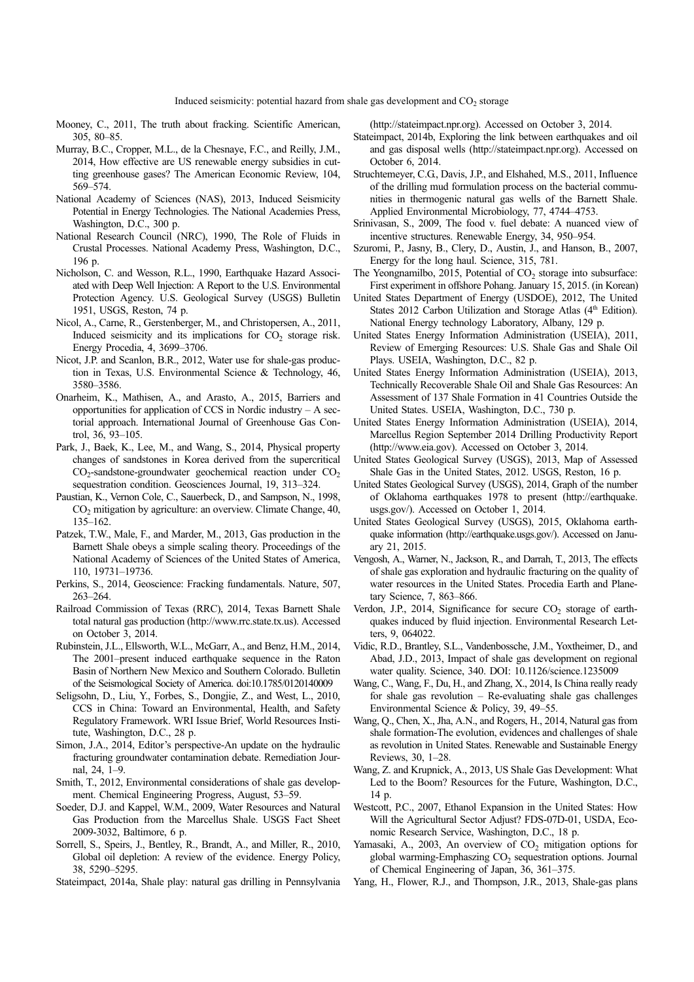- Mooney, C., 2011, The truth about fracking. Scientific American, 305, 80–85.
- Murray, B.C., Cropper, M.L., de la Chesnaye, F.C., and Reilly, J.M., 2014, How effective are US renewable energy subsidies in cutting greenhouse gases? The American Economic Review, 104, 569–574.
- National Academy of Sciences (NAS), 2013, Induced Seismicity Potential in Energy Technologies. The National Academies Press, Washington, D.C., 300 p.
- National Research Council (NRC), 1990, The Role of Fluids in Crustal Processes. National Academy Press, Washington, D.C., 196 p.
- Nicholson, C. and Wesson, R.L., 1990, Earthquake Hazard Associated with Deep Well Injection: A Report to the U.S. Environmental Protection Agency. U.S. Geological Survey (USGS) Bulletin 1951, USGS, Reston, 74 p.
- Nicol, A., Carne, R., Gerstenberger, M., and Christopersen, A., 2011, Induced seismicity and its implications for  $CO<sub>2</sub>$  storage risk. Energy Procedia, 4, 3699–3706.
- Nicot, J.P. and Scanlon, B.R., 2012, Water use for shale-gas production in Texas, U.S. Environmental Science & Technology, 46, 3580–3586.
- Onarheim, K., Mathisen, A., and Arasto, A., 2015, Barriers and opportunities for application of CCS in Nordic industry  $- A$  sectorial approach. International Journal of Greenhouse Gas Control, 36, 93–105.
- Park, J., Baek, K., Lee, M., and Wang, S., 2014, Physical property changes of sandstones in Korea derived from the supercritical  $CO<sub>2</sub>$ -sandstone-groundwater geochemical reaction under  $CO<sub>2</sub>$ sequestration condition. Geosciences Journal, 19, 313–324.
- Paustian, K., Vernon Cole, C., Sauerbeck, D., and Sampson, N., 1998, CO2 mitigation by agriculture: an overview. Climate Change, 40, 135–162.
- Patzek, T.W., Male, F., and Marder, M., 2013, Gas production in the Barnett Shale obeys a simple scaling theory. Proceedings of the National Academy of Sciences of the United States of America, 110, 19731–19736.
- Perkins, S., 2014, Geoscience: Fracking fundamentals. Nature, 507, 263–264.
- Railroad Commission of Texas (RRC), 2014, Texas Barnett Shale total natural gas production (http://www.rrc.state.tx.us). Accessed on October 3, 2014.
- Rubinstein, J.L., Ellsworth, W.L., McGarr, A., and Benz, H.M., 2014, The 2001–present induced earthquake sequence in the Raton Basin of Northern New Mexico and Southern Colorado. Bulletin of the Seismological Society of America. doi:10.1785/0120140009
- Seligsohn, D., Liu, Y., Forbes, S., Dongjie, Z., and West, L., 2010, CCS in China: Toward an Environmental, Health, and Safety Regulatory Framework. WRI Issue Brief, World Resources Institute, Washington, D.C., 28 p.
- Simon, J.A., 2014, Editor's perspective-An update on the hydraulic fracturing groundwater contamination debate. Remediation Journal, 24, 1–9.
- Smith, T., 2012, Environmental considerations of shale gas development. Chemical Engineering Progress, August, 53–59.
- Soeder, D.J. and Kappel, W.M., 2009, Water Resources and Natural Gas Production from the Marcellus Shale. USGS Fact Sheet 2009-3032, Baltimore, 6 p.
- Sorrell, S., Speirs, J., Bentley, R., Brandt, A., and Miller, R., 2010, Global oil depletion: A review of the evidence. Energy Policy, 38, 5290–5295.

Stateimpact, 2014a, Shale play: natural gas drilling in Pennsylvania

(http://stateimpact.npr.org). Accessed on October 3, 2014.

- Stateimpact, 2014b, Exploring the link between earthquakes and oil and gas disposal wells (http://stateimpact.npr.org). Accessed on October 6, 2014.
- Struchtemeyer, C.G., Davis, J.P., and Elshahed, M.S., 2011, Influence of the drilling mud formulation process on the bacterial communities in thermogenic natural gas wells of the Barnett Shale. Applied Environmental Microbiology, 77, 4744–4753.
- Srinivasan, S., 2009, The food v. fuel debate: A nuanced view of incentive structures. Renewable Energy, 34, 950–954.
- Szuromi, P., Jasny, B., Clery, D., Austin, J., and Hanson, B., 2007, Energy for the long haul. Science, 315, 781.
- The Yeongnamilbo, 2015, Potential of  $CO<sub>2</sub>$  storage into subsurface: First experiment in offshore Pohang. January 15, 2015. (in Korean)
- United States Department of Energy (USDOE), 2012, The United States 2012 Carbon Utilization and Storage Atlas (4<sup>th</sup> Edition). National Energy technology Laboratory, Albany, 129 p.
- United States Energy Information Administration (USEIA), 2011, Review of Emerging Resources: U.S. Shale Gas and Shale Oil Plays. USEIA, Washington, D.C., 82 p.
- United States Energy Information Administration (USEIA), 2013, Technically Recoverable Shale Oil and Shale Gas Resources: An Assessment of 137 Shale Formation in 41 Countries Outside the United States. USEIA, Washington, D.C., 730 p.
- United States Energy Information Administration (USEIA), 2014, Marcellus Region September 2014 Drilling Productivity Report (http://www.eia.gov). Accessed on October 3, 2014.
- United States Geological Survey (USGS), 2013, Map of Assessed Shale Gas in the United States, 2012. USGS, Reston, 16 p.
- United States Geological Survey (USGS), 2014, Graph of the number of Oklahoma earthquakes 1978 to present (http://earthquake. usgs.gov/). Accessed on October 1, 2014.
- United States Geological Survey (USGS), 2015, Oklahoma earthquake information (http://earthquake.usgs.gov/). Accessed on January 21, 2015.
- Vengosh, A., Warner, N., Jackson, R., and Darrah, T., 2013, The effects of shale gas exploration and hydraulic fracturing on the quality of water resources in the United States. Procedia Earth and Planetary Science, 7, 863–866.
- Verdon, J.P., 2014, Significance for secure  $CO<sub>2</sub>$  storage of earthquakes induced by fluid injection. Environmental Research Letters, 9, 064022.
- Vidic, R.D., Brantley, S.L., Vandenbossche, J.M., Yoxtheimer, D., and Abad, J.D., 2013, Impact of shale gas development on regional water quality. Science, 340. DOI: 10.1126/science.1235009
- Wang, C., Wang, F., Du, H., and Zhang, X., 2014, Is China really ready for shale gas revolution – Re-evaluating shale gas challenges Environmental Science & Policy, 39, 49–55.
- Wang, Q., Chen, X., Jha, A.N., and Rogers, H., 2014, Natural gas from shale formation-The evolution, evidences and challenges of shale as revolution in United States. Renewable and Sustainable Energy Reviews, 30, 1–28.
- Wang, Z. and Krupnick, A., 2013, US Shale Gas Development: What Led to the Boom? Resources for the Future, Washington, D.C., 14 p.
- Westcott, P.C., 2007, Ethanol Expansion in the United States: How Will the Agricultural Sector Adjust? FDS-07D-01, USDA, Economic Research Service, Washington, D.C., 18 p.
- Yamasaki, A., 2003, An overview of  $CO<sub>2</sub>$  mitigation options for global warming-Emphaszing  $CO<sub>2</sub>$  sequestration options. Journal of Chemical Engineering of Japan, 36, 361–375.
- Yang, H., Flower, R.J., and Thompson, J.R., 2013, Shale-gas plans